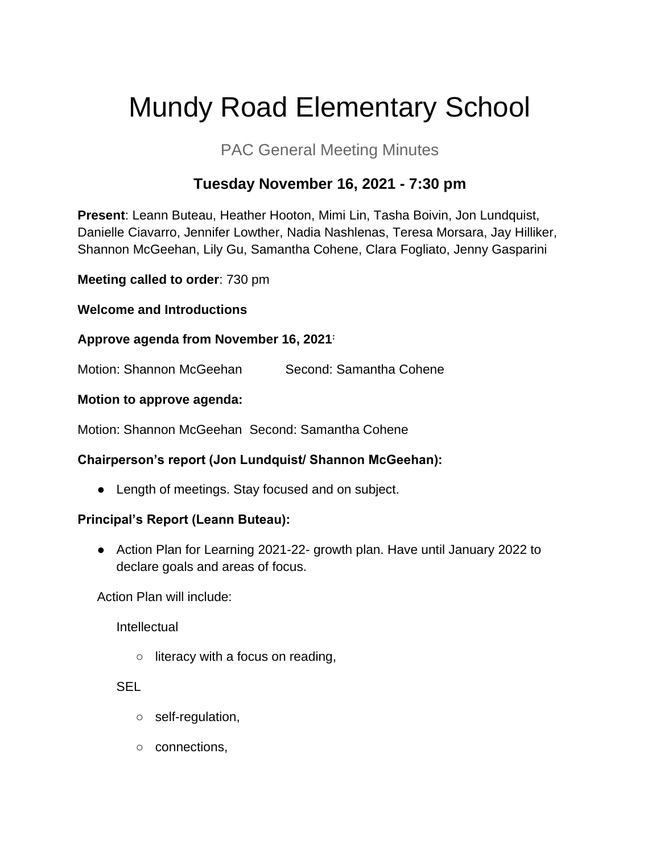# Mundy Road Elementary School

# PAC General Meeting Minutes

## **Tuesday November 16, 2021 - 7:30 pm**

**Present**: Leann Buteau, Heather Hooton, Mimi Lin, Tasha Boivin, Jon Lundquist, Danielle Ciavarro, Jennifer Lowther, Nadia Nashlenas, Teresa Morsara, Jay Hilliker, Shannon McGeehan, Lily Gu, Samantha Cohene, Clara Fogliato, Jenny Gasparini

**Meeting called to order**: 730 pm

**Welcome and Introductions**

## **Approve agenda from November 16, 2021:**

Motion: Shannon McGeehan Second: Samantha Cohene

#### **Motion to approve agenda:**

Motion: Shannon McGeehan Second: Samantha Cohene

## **Chairperson's report (Jon Lundquist/ Shannon McGeehan):**

• Length of meetings. Stay focused and on subject.

## **Principal's Report (Leann Buteau):**

● Action Plan for Learning 2021-22- growth plan. Have until January 2022 to declare goals and areas of focus.

Action Plan will include:

Intellectual

○ literacy with a focus on reading,

SEL

- self-regulation,
- connections,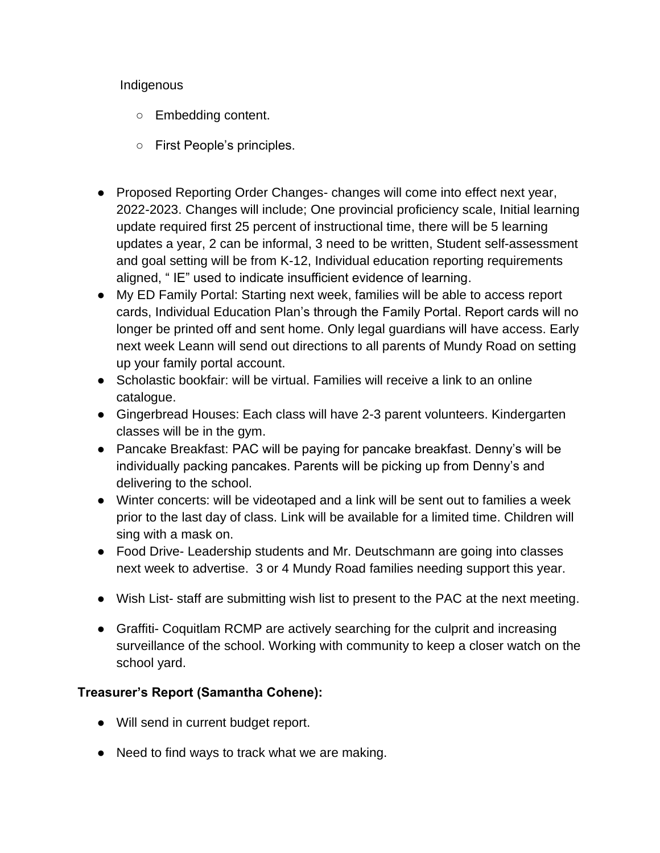#### Indigenous

- Embedding content.
- First People's principles.
- Proposed Reporting Order Changes- changes will come into effect next year, 2022-2023. Changes will include; One provincial proficiency scale, Initial learning update required first 25 percent of instructional time, there will be 5 learning updates a year, 2 can be informal, 3 need to be written, Student self-assessment and goal setting will be from K-12, Individual education reporting requirements aligned, " IE" used to indicate insufficient evidence of learning.
- My ED Family Portal: Starting next week, families will be able to access report cards, Individual Education Plan's through the Family Portal. Report cards will no longer be printed off and sent home. Only legal guardians will have access. Early next week Leann will send out directions to all parents of Mundy Road on setting up your family portal account.
- Scholastic bookfair: will be virtual. Families will receive a link to an online catalogue.
- Gingerbread Houses: Each class will have 2-3 parent volunteers. Kindergarten classes will be in the gym.
- Pancake Breakfast: PAC will be paying for pancake breakfast. Denny's will be individually packing pancakes. Parents will be picking up from Denny's and delivering to the school.
- Winter concerts: will be videotaped and a link will be sent out to families a week prior to the last day of class. Link will be available for a limited time. Children will sing with a mask on.
- Food Drive- Leadership students and Mr. Deutschmann are going into classes next week to advertise. 3 or 4 Mundy Road families needing support this year.
- Wish List- staff are submitting wish list to present to the PAC at the next meeting.
- Graffiti- Coquitlam RCMP are actively searching for the culprit and increasing surveillance of the school. Working with community to keep a closer watch on the school yard.

## **Treasurer's Report (Samantha Cohene):**

- Will send in current budget report.
- Need to find ways to track what we are making.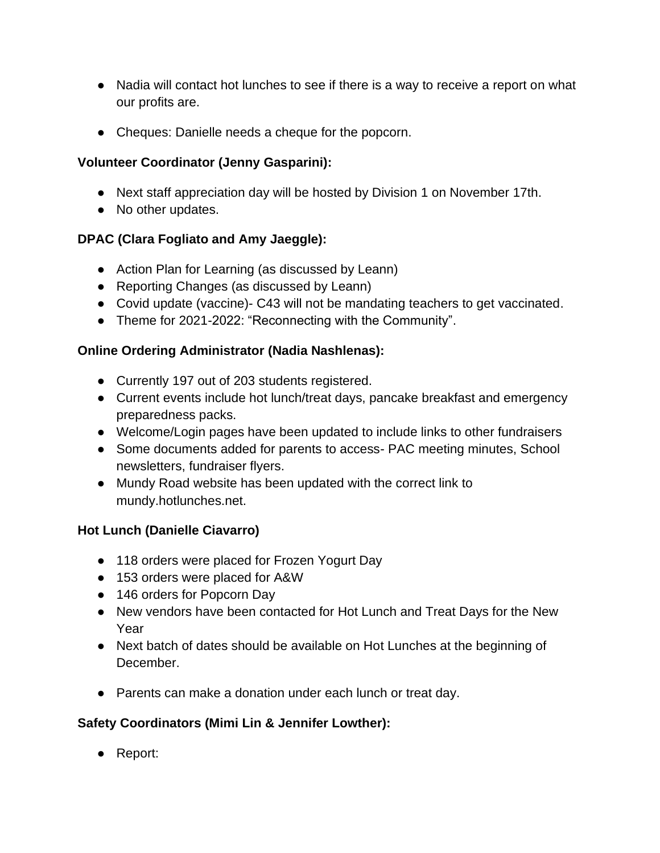- Nadia will contact hot lunches to see if there is a way to receive a report on what our profits are.
- Cheques: Danielle needs a cheque for the popcorn.

## **Volunteer Coordinator (Jenny Gasparini):**

- Next staff appreciation day will be hosted by Division 1 on November 17th.
- No other updates.

## **DPAC (Clara Fogliato and Amy Jaeggle):**

- Action Plan for Learning (as discussed by Leann)
- Reporting Changes (as discussed by Leann)
- Covid update (vaccine)- C43 will not be mandating teachers to get vaccinated.
- Theme for 2021-2022: "Reconnecting with the Community".

## **Online Ordering Administrator (Nadia Nashlenas):**

- Currently 197 out of 203 students registered.
- Current events include hot lunch/treat days, pancake breakfast and emergency preparedness packs.
- Welcome/Login pages have been updated to include links to other fundraisers
- Some documents added for parents to access- PAC meeting minutes, School newsletters, fundraiser flyers.
- Mundy Road website has been updated with the correct link to mundy.hotlunches.net.

## **Hot Lunch (Danielle Ciavarro)**

- 118 orders were placed for Frozen Yogurt Day
- 153 orders were placed for A&W
- 146 orders for Popcorn Day
- New vendors have been contacted for Hot Lunch and Treat Days for the New Year
- Next batch of dates should be available on Hot Lunches at the beginning of December.
- Parents can make a donation under each lunch or treat day.

## **Safety Coordinators (Mimi Lin & Jennifer Lowther):**

● Report: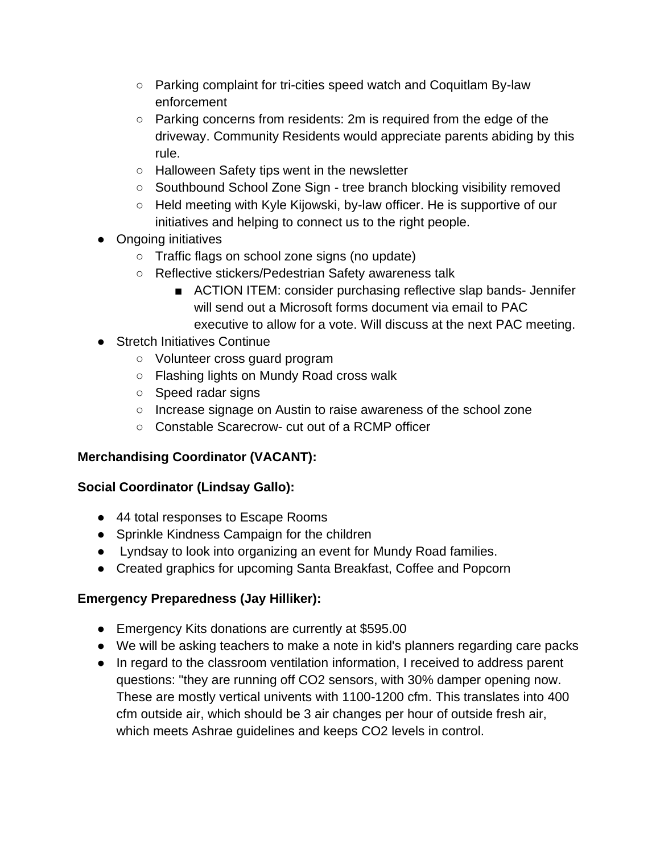- Parking complaint for tri-cities speed watch and Coquitlam By-law enforcement
- $\circ$  Parking concerns from residents: 2m is required from the edge of the driveway. Community Residents would appreciate parents abiding by this rule.
- Halloween Safety tips went in the newsletter
- Southbound School Zone Sign tree branch blocking visibility removed
- Held meeting with Kyle Kijowski, by-law officer. He is supportive of our initiatives and helping to connect us to the right people.
- Ongoing initiatives
	- Traffic flags on school zone signs (no update)
	- Reflective stickers/Pedestrian Safety awareness talk
		- ACTION ITEM: consider purchasing reflective slap bands- Jennifer will send out a Microsoft forms document via email to PAC executive to allow for a vote. Will discuss at the next PAC meeting.
- Stretch Initiatives Continue
	- Volunteer cross guard program
	- Flashing lights on Mundy Road cross walk
	- Speed radar signs
	- Increase signage on Austin to raise awareness of the school zone
	- Constable Scarecrow- cut out of a RCMP officer

## **Merchandising Coordinator (VACANT):**

## **Social Coordinator (Lindsay Gallo):**

- 44 total responses to Escape Rooms
- Sprinkle Kindness Campaign for the children
- Lyndsay to look into organizing an event for Mundy Road families.
- Created graphics for upcoming Santa Breakfast, Coffee and Popcorn

## **Emergency Preparedness (Jay Hilliker):**

- Emergency Kits donations are currently at \$595.00
- We will be asking teachers to make a note in kid's planners regarding care packs
- In regard to the classroom ventilation information, I received to address parent questions: "they are running off CO2 sensors, with 30% damper opening now. These are mostly vertical univents with 1100-1200 cfm. This translates into 400 cfm outside air, which should be 3 air changes per hour of outside fresh air, which meets Ashrae guidelines and keeps CO2 levels in control.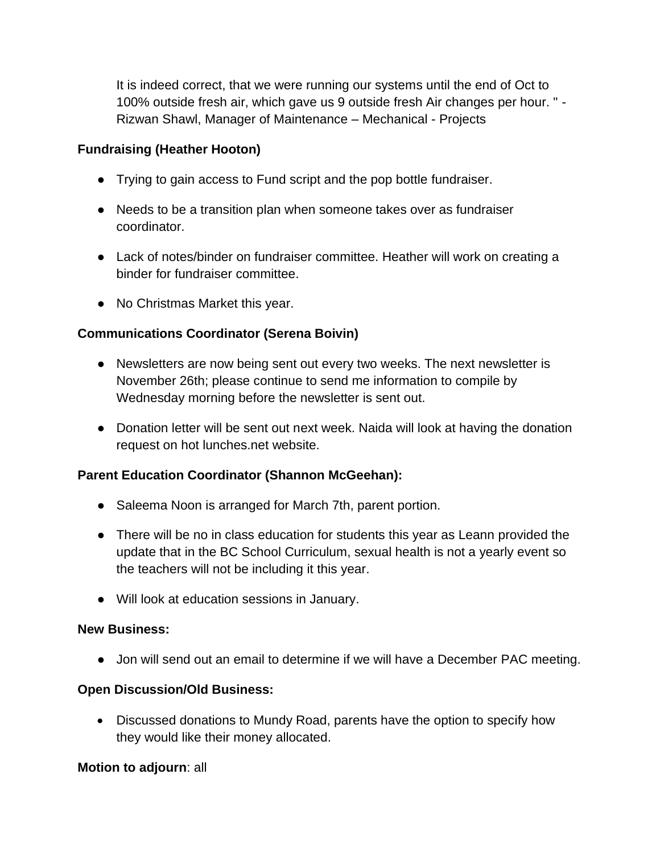It is indeed correct, that we were running our systems until the end of Oct to 100% outside fresh air, which gave us 9 outside fresh Air changes per hour. " - Rizwan Shawl, Manager of Maintenance – Mechanical - Projects

#### **Fundraising (Heather Hooton)**

- Trying to gain access to Fund script and the pop bottle fundraiser.
- Needs to be a transition plan when someone takes over as fundraiser coordinator.
- Lack of notes/binder on fundraiser committee. Heather will work on creating a binder for fundraiser committee.
- No Christmas Market this year.

## **Communications Coordinator (Serena Boivin)**

- Newsletters are now being sent out every two weeks. The next newsletter is November 26th; please continue to send me information to compile by Wednesday morning before the newsletter is sent out.
- Donation letter will be sent out next week. Naida will look at having the donation request on hot lunches.net website.

## **Parent Education Coordinator (Shannon McGeehan):**

- Saleema Noon is arranged for March 7th, parent portion.
- There will be no in class education for students this year as Leann provided the update that in the BC School Curriculum, sexual health is not a yearly event so the teachers will not be including it this year.
- Will look at education sessions in January.

#### **New Business:**

● Jon will send out an email to determine if we will have a December PAC meeting.

#### **Open Discussion/Old Business:**

• Discussed donations to Mundy Road, parents have the option to specify how they would like their money allocated.

#### **Motion to adjourn**: all